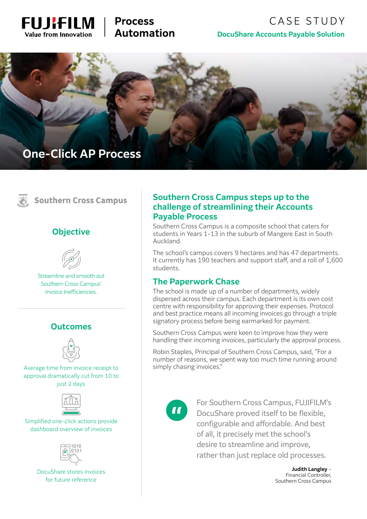

# **Process Automation**

# CASE STUDY **DocuShare Accounts Payable Solution**





# **Southern Cross Campus**

#### **Objective**



Streamline and smooth out Southern Cross Campus' Invoice Inefficiencies.

#### **Outcomes**



Average time from invoice receipt to approval dramatically cut from 10 to just 2 days



Simplified one-click actions provide dashboard overview of invoices



DocuShare stores invoices for future reference

#### **Southern Cross Campus steps up to the challenge of streamlining their Accounts Payable Process**

Southern Cross Campus is a composite school that caters for students in Years 1-13 in the suburb of Mangere East in South Auckland.

The school's campus covers 9 hectares and has 47 departments. It currently has 190 teachers and support staff, and a roll of 1,600 students.

#### **The Paperwork Chase**

The school is made up of a number of departments, widely dispersed across their campus. Each department is its own cost centre with responsibility for approving their expenses. Protocol and best practice means all incoming invoices go through a triple signatory process before being earmarked for payment.

Southern Cross Campus were keen to improve how they were handling their incoming invoices, particularly the approval process.

Robin Staples, Principal of Southern Cross Campus, said, "For a number of reasons, we spent way too much time running around simply chasing invoices."



For Southern Cross Campus, FUJIFILM's DocuShare proved itself to be flexible, configurable and affordable. And best of all, it precisely met the school's desire to streamline and improve, rather than just replace old processes.

> **Judith Langley** – Financial Controller, Southern Cross Campus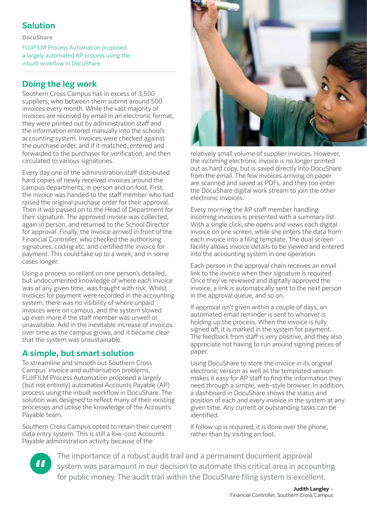# **Solution**

**DocuShare**

FUJIFILM Process Automation proposed a largely automated AP process using the inbuilt workflow in DocuShare.

# **Doing the leg work**

forwarded to the purchaser for verification, and then circulated to various signatories. Southern Cross Campus has in excess of 3,500 suppliers, who between them submit around 500 invoices every month. While the vast majority of invoices are received by email in an electronic format, they were printed out by administration staff and the information entered manually into the school's accounting system. Invoices were checked against the purchase order, and if it matched, entered and

Every day one of the administration staff distributed hard copies of newly received invoices around the campus departments, in person and on foot. First, the invoice was handed to the staff member who had raised the original purchase order for their approval. Then it was passed on to the Head of Department for their signature. The approved invoice was collected, again in person, and returned to the School Director for approval. Finally, the invoice arrived in front of the Financial Controller, who checked the authorising signatures, coding etc. and certified the invoice for payment. This could take up to a week, and in some cases longer.

Using a process so reliant on one person's detailed, but undocumented knowledge of where each invoice was at any given time, was fraught with risk. Whilst invoices for payment were recorded in the accounting system, there was no visibility of where unpaid invoices were on campus, and the system slowed up even more if the staff member was unwell or unavailable. Add in the inevitable increase of invoices over time as the campus grows, and it became clear that the system was unsustainable.

# **A simple, but smart solution**

To streamline and smooth out Southern Cross Campus' invoice and authorisation problems, FUJIFILM Process Automation proposed a largely (but not entirely) automated Accounts Payable (AP) process using the inbuilt workflow in DocuShare. The solution was designed to reflect many of their existing processes and utilise the knowledge of the Accounts Payable team.

Southern Cross Campus opted to retain their current data entry system. This is still a low-cost Accounts Payable administration activity because of the



relatively small volume of supplier invoices. However, the incoming electronic invoice is no longer printed out as hard copy, but is saved directly into DocuShare from the email. The few invoices arriving on paper are scanned and saved as PDFs, and they too enter the DocuShare digital work stream to join the other electronic invoices.

Every morning the AP staff member handling incoming invoices is presented with a summary list. With a single click, she opens and views each digital invoice on one screen, while she enters the data from each invoice into a filing template. The dual screen facility allows invoice details to be viewed and entered into the accounting system in one operation.

Each person in the approval chain receives an email link to the invoice when their signature is required. Once they've reviewed and digitally approved the invoice, a link is automatically sent to the next person in the approval queue, and so on.

If approval isn't given within a couple of days, an automated email reminder is sent to whoever is holding up the process. When the invoice is fully signed off, it is marked in the system for payment. The feedback from staff is very positive, and they also appreciate not having to run around signing pieces of paper.

Using DocuShare to store the invoice in its original electronic version as well as the templated version makes it easy for AP staff to find the information they need through a simple, web-style browser. In addition, a dashboard in DocuShare shows the status and position of each and every invoice in the system at any given time. Any current or outstanding tasks can be identified.

If follow up is required, it is done over the phone, rather than by visiting on foot.



The importance of a robust audit trail and a permanent document approval system was paramount in our decision to automate this critical area in accounting for public money. The audit trail within the DocuShare filing system is excellent.